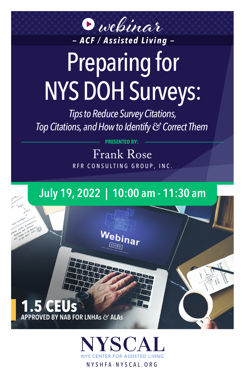*Uvelinar — ACF / Assisted Living —*

# Preparing for NYS DOH Surveys:

*Tips to Reduce Survey Citations, Top Citations, and How to Identify* & *Correct Them* 

**PRESENTED BY:** 

Frank Rose RFR CONSULTING GROUP, INC.

## **July 19, 2022 | 10:00 am - 11:30 am**

Webinar

NYSHFA-NYSCAL.ORG

**JYSCA** 

**1.5 CEUs**

**APPROVED BY NAB FOR LNHAs** & **ALAs**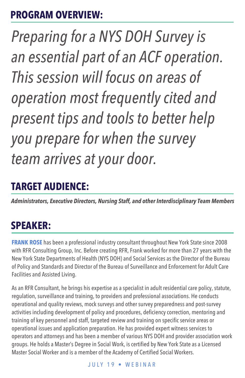#### **PROGRAM OVERVIEW:**

*Preparing for a NYS DOH Survey is an essential part of an ACF operation. This session will focus on areas of operation most frequently cited and present tips and tools to better help you prepare for when the survey team arrives at your door.*

#### **TARGET AUDIENCE:**

*Administrators, Executive Directors, Nursing Staff, and other Interdisciplinary Team Members*

### **SPEAKER:**

**FRANK ROSE** has been a professional industry consultant throughout New York State since 2008 with RFR Consulting Group, Inc. Before creating RFR, Frank worked for more than 27 years with the New York State Departments of Health (NYS DOH) and Social Services as the Director of the Bureau of Policy and Standards and Director of the Bureau of Surveillance and Enforcement for Adult Care Facilities and Assisted Living.

As an RFR Consultant, he brings his expertise as a specialist in adult residential care policy, statute, regulation, surveillance and training, to providers and professional associations. He conducts operational and quality reviews, mock surveys and other survey preparedness and post-survey activities including development of policy and procedures, deficiency correction, mentoring and training of key personnel and staff, targeted review and training on specific service areas or operational issues and application preparation. He has provided expert witness services to operators and attorneys and has been a member of various NYS DOH and provider association work groups. He holds a Master's Degree in Social Work, is certified by New York State as a Licensed Master Social Worker and is a member of the Academy of Certified Social Workers.

JULY 19 • WEBINAR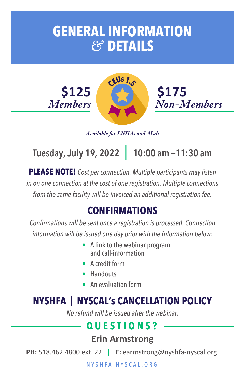# **GENERAL INFORMATION** & **DETAILS**



*Non-Members* **\$175**

 *Available for LNHAs and ALAs*

**Tuesday, July 19, 2022 | 10:00 am —11:30 am**

**PLEASE NOTE!** *Cost per connection. Multiple participants may listen in on one connection at the cost of one registration. Multiple connections from the same facility will be invoiced an additional registration fee.*

#### **CONFIRMATIONS**

*Confirmations will be sent once a registration is processed. Connection information will be issued one day prior with the information below:*

- A link to the webinar program and call-information
- A credit form
- Handouts
- An evaluation form

#### **NYSHFA | NYSCAL's CANCELLATION POLICY**

*No refund will be issued after the webinar.*

#### **QUESTIONS?**

#### Erin Armstrong

**PH:** 518.462.4800 ext. 22 **| E:** earmstrong@nyshfa-nyscal.org

NYSHFA-NYSCAL.ORG